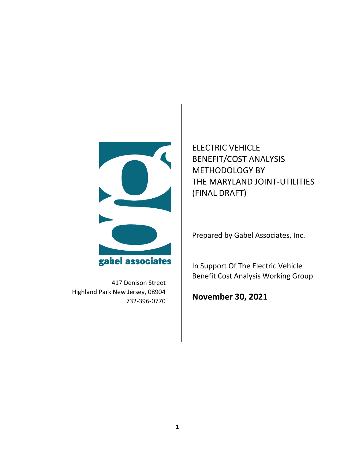

417 Denison Street Highland Park New Jersey, 08904 732-396-0770

ELECTRIC VEHICLE BENEFIT/COST ANALYSIS METHODOLOGY BY THE MARYLAND JOINT-UTILITIES (FINAL DRAFT)

Prepared by Gabel Associates, Inc.

In Support Of The Electric Vehicle Benefit Cost Analysis Working Group

**November 30, 2021**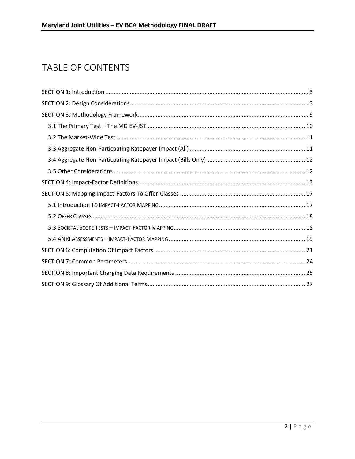# TABLE OF CONTENTS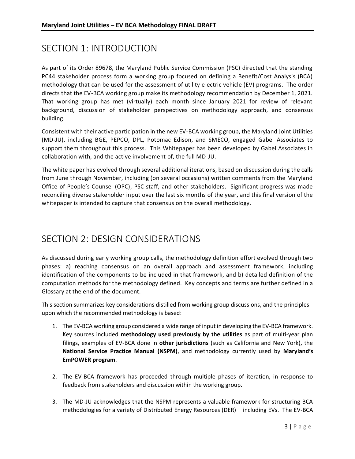# <span id="page-2-0"></span>SECTION 1: INTRODUCTION

As part of its Order 89678, the Maryland Public Service Commission (PSC) directed that the standing PC44 stakeholder process form a working group focused on defining a Benefit/Cost Analysis (BCA) methodology that can be used for the assessment of utility electric vehicle (EV) programs. The order directs that the EV-BCA working group make its methodology recommendation by December 1, 2021. That working group has met (virtually) each month since January 2021 for review of relevant background, discussion of stakeholder perspectives on methodology approach, and consensus building.

Consistent with their active participation in the new EV-BCA working group, the Maryland Joint Utilities (MD-JU), including BGE, PEPCO, DPL, Potomac Edison, and SMECO, engaged Gabel Associates to support them throughout this process. This Whitepaper has been developed by Gabel Associates in collaboration with, and the active involvement of, the full MD-JU.

The white paper has evolved through several additional iterations, based on discussion during the calls from June through November, including (on several occasions) written comments from the Maryland Office of People's Counsel (OPC), PSC-staff, and other stakeholders. Significant progress was made reconciling diverse stakeholder input over the last six months of the year, and this final version of the whitepaper is intended to capture that consensus on the overall methodology.

### <span id="page-2-1"></span>SECTION 2: DESIGN CONSIDERATIONS

As discussed during early working group calls, the methodology definition effort evolved through two phases: a) reaching consensus on an overall approach and assessment framework, including identification of the components to be included in that framework, and b) detailed definition of the computation methods for the methodology defined. Key concepts and terms are further defined in a Glossary at the end of the document.

This section summarizes key considerations distilled from working group discussions, and the principles upon which the recommended methodology is based:

- 1. The EV-BCA working group considered a wide range of input in developing the EV-BCA framework. Key sources included **methodology used previously by the utilities** as part of multi-year plan filings, examples of EV-BCA done in **other jurisdictions** (such as California and New York), the **National Service Practice Manual (NSPM)**, and methodology currently used by **Maryland's EmPOWER program**.
- 2. The EV-BCA framework has proceeded through multiple phases of iteration, in response to feedback from stakeholders and discussion within the working group.
- 3. The MD-JU acknowledges that the NSPM represents a valuable framework for structuring BCA methodologies for a variety of Distributed Energy Resources (DER) – including EVs. The EV-BCA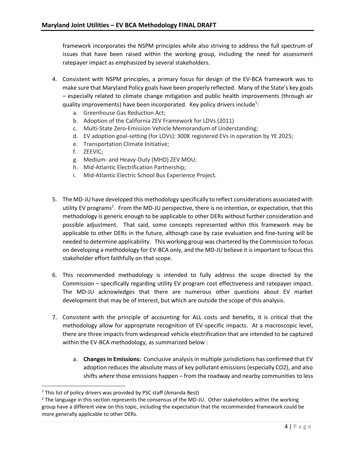framework incorporates the NSPM principles while also striving to address the full spectrum of issues that have been raised within the working group, including the need for assessment ratepayer impact as emphasized by several stakeholders.

- 4. Consistent with NSPM principles, a primary focus for design of the EV-BCA framework was to make sure that Maryland Policy goals have been properly reflected. Many of the State's key goals – especially related to climate change mitigation and public health improvements (through air quality improvements) have been incorporated. Key policy drivers include<sup>1</sup>:
	- a. Greenhouse Gas Reduction Act;
	- b. Adoption of the California ZEV Framework for LDVs (2011)
	- c. Multi-State Zero-Emission Vehicle Memorandum of Understanding;
	- d. EV adoption goal-setting (for LDVs): 300K registered EVs in operation by YE 2025;
	- e. Transportation Climate Initiative;
	- f. ZEEVIC;
	- g. Medium- and Heavy-Duty (MHD) ZEV MOU;
	- h. Mid-Atlantic Electrification Partnership;
	- i. Mid-Atlantic Electric School Bus Experience Project.
- 5. The MD-JU have developed this methodology specifically to reflect considerations associated with utility EV programs<sup>2</sup>. From the MD-JU perspective, there is no intention, or expectation, that this methodology is generic enough to be applicable to other DERs without further consideration and possible adjustment. That said, some concepts represented within this framework may be applicable to other DERs in the future, although case by case evaluation and fine-tuning will be needed to determine applicability. This working group was chartered by the Commission to focus on developing a methodology for EV-BCA only, and the MD-JU believe it is important to focus this stakeholder effort faithfully on that scope.
- 6. This recommended methodology is intended to fully address the scope directed by the Commission – specifically regarding utility EV program cost effectiveness and ratepayer impact. The MD-JU acknowledges that there are numerous other questions about EV market development that may be of interest, but which are outside the scope of this analysis.
- 7. Consistent with the principle of accounting for ALL costs and benefits, it is critical that the methodology allow for appropriate recognition of EV-specific impacts. At a macroscopic level, there are three impacts from widespread vehicle electrification that are intended to be captured within the EV-BCA methodology, as summarized below :
	- a. **Changes in Emissions:** Conclusive analysis in multiple jurisdictions has confirmed that EV adoption reduces the absolute mass of key pollutant emissions (especially CO2), and also shifts *where* those emissions happen – from the roadway and nearby communities to less

 $1$  This list of policy drivers was provided by PSC staff (Amanda Best)

 $2$  The language in this section represents the consensus of the MD-JU. Other stakeholders within the working group have a different view on this topic, including the expectation that the recommended framework could be more generally applicable to other DERs.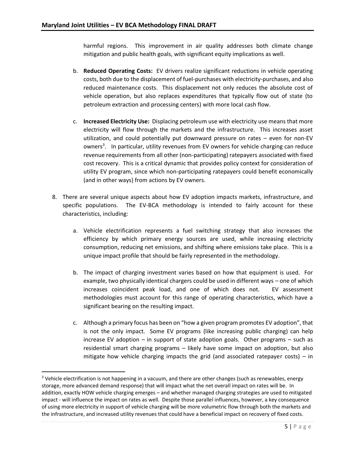harmful regions. This improvement in air quality addresses both climate change mitigation and public health goals, with significant equity implications as well.

- b. **Reduced Operating Costs:** EV drivers realize significant reductions in vehicle operating costs, both due to the displacement of fuel-purchases with electricity-purchases, and also reduced maintenance costs. This displacement not only reduces the absolute cost of vehicle operation, but also replaces expenditures that typically flow out of state (to petroleum extraction and processing centers) with more local cash flow.
- c. **Increased Electricity Use:** Displacing petroleum use with electricity use means that more electricity will flow through the markets and the infrastructure. This increases asset utilization, and could potentially put downward pressure on rates – even for non-EV owners<sup>3</sup>. In particular, utility revenues from EV owners for vehicle charging can reduce revenue requirements from all other (non-participating) ratepayers associated with fixed cost recovery. This is a critical dynamic that provides policy context for consideration of utility EV program, since which non-participating ratepayers could benefit economically (and in other ways) from actions by EV owners.
- 8. There are several unique aspects about how EV adoption impacts markets, infrastructure, and specific populations. The EV-BCA methodology is intended to fairly account for these characteristics, including:
	- a. Vehicle electrification represents a fuel switching strategy that also increases the efficiency by which primary energy sources are used, while increasing electricity consumption, reducing net emissions, and shifting where emissions take place. This is a unique impact profile that should be fairly represented in the methodology.
	- b. The impact of charging investment varies based on how that equipment is used. For example, two physically identical chargers could be used in different ways – one of which increases coincident peak load, and one of which does not. EV assessment methodologies must account for this range of operating characteristics, which have a significant bearing on the resulting impact.
	- c. Although a primary focus has been on "how a given program promotes EV adoption", that is not the only impact. Some EV programs (like increasing public charging) can help increase EV adoption – in support of state adoption goals. Other programs – such as residential smart charging programs – likely have some impact on adoption, but also mitigate how vehicle charging impacts the grid (and associated ratepayer costs) – in

<sup>&</sup>lt;sup>3</sup> Vehicle electrification is not happening in a vacuum, and there are other changes (such as renewables, energy storage, more advanced demand response) that will impact what the net overall impact on rates will be. In addition, exactly HOW vehicle charging emerges – and whether managed charging strategies are used to mitigated impact - will influence the impact on rates as well. Despite those parallel influences, however, a key consequence of using more electricity in support of vehicle charging will be more volumetric flow through both the markets and the infrastructure, and increased utility revenues that could have a beneficial impact on recovery of fixed costs.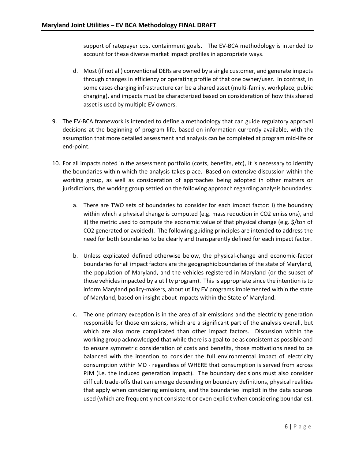support of ratepayer cost containment goals. The EV-BCA methodology is intended to account for these diverse market impact profiles in appropriate ways.

- d. Most (if not all) conventional DERs are owned by a single customer, and generate impacts through changes in efficiency or operating profile of that one owner/user. In contrast, in some cases charging infrastructure can be a shared asset (multi-family, workplace, public charging), and impacts must be characterized based on consideration of how this shared asset is used by multiple EV owners.
- 9. The EV-BCA framework is intended to define a methodology that can guide regulatory approval decisions at the beginning of program life, based on information currently available, with the assumption that more detailed assessment and analysis can be completed at program mid-life or end-point.
- 10. For all impacts noted in the assessment portfolio (costs, benefits, etc), it is necessary to identify the boundaries within which the analysis takes place. Based on extensive discussion within the working group, as well as consideration of approaches being adopted in other matters or jurisdictions, the working group settled on the following approach regarding analysis boundaries:
	- a. There are TWO sets of boundaries to consider for each impact factor: i) the boundary within which a physical change is computed (e.g. mass reduction in CO2 emissions), and ii) the metric used to compute the economic value of that physical change (e.g. \$/ton of CO2 generated or avoided). The following guiding principles are intended to address the need for both boundaries to be clearly and transparently defined for each impact factor.
	- b. Unless explicated defined otherwise below, the physical-change and economic-factor boundaries for all impact factors are the geographic boundaries of the state of Maryland, the population of Maryland, and the vehicles registered in Maryland (or the subset of those vehicles impacted by a utility program). This is appropriate since the intention is to inform Maryland policy-makers, about utility EV programs implemented within the state of Maryland, based on insight about impacts within the State of Maryland.
	- c. The one primary exception is in the area of air emissions and the electricity generation responsible for those emissions, which are a significant part of the analysis overall, but which are also more complicated than other impact factors. Discussion within the working group acknowledged that while there is a goal to be as consistent as possible and to ensure symmetric consideration of costs and benefits, those motivations need to be balanced with the intention to consider the full environmental impact of electricity consumption within MD - regardless of WHERE that consumption is served from across PJM (i.e. the induced generation impact). The boundary decisions must also consider difficult trade-offs that can emerge depending on boundary definitions, physical realities that apply when considering emissions, and the boundaries implicit in the data sources used (which are frequently not consistent or even explicit when considering boundaries).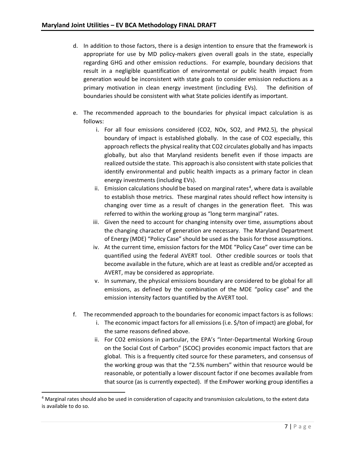- d. In addition to those factors, there is a design intention to ensure that the framework is appropriate for use by MD policy-makers given overall goals in the state, especially regarding GHG and other emission reductions. For example, boundary decisions that result in a negligible quantification of environmental or public health impact from generation would be inconsistent with state goals to consider emission reductions as a primary motivation in clean energy investment (including EVs). The definition of boundaries should be consistent with what State policies identify as important.
- e. The recommended approach to the boundaries for physical impact calculation is as follows:
	- i. For all four emissions considered (CO2, NOx, SO2, and PM2.5), the physical boundary of impact is established globally. In the case of CO2 especially, this approach reflects the physical reality that CO2 circulates globally and has impacts globally, but also that Maryland residents benefit even if those impacts are realized outside the state. This approach is also consistent with state policies that identify environmental and public health impacts as a primary factor in clean energy investments (including EVs).
	- ii. Emission calculations should be based on marginal rates<sup>4</sup>, where data is available to establish those metrics. These marginal rates should reflect how intensity is changing over time as a result of changes in the generation fleet. This was referred to within the working group as "long term marginal" rates.
	- iii. Given the need to account for changing intensity over time, assumptions about the changing character of generation are necessary. The Maryland Department of Energy (MDE) "Policy Case" should be used as the basis for those assumptions.
	- iv. At the current time, emission factors for the MDE "Policy Case" over time can be quantified using the federal AVERT tool. Other credible sources or tools that become available in the future, which are at least as credible and/or accepted as AVERT, may be considered as appropriate.
	- v. In summary, the physical emissions boundary are considered to be global for all emissions, as defined by the combination of the MDE "policy case" and the emission intensity factors quantified by the AVERT tool.
- f. The recommended approach to the boundaries for economic impact factors is as follows:
	- i. The economic impact factors for all emissions (i.e. \$/ton of impact) are global, for the same reasons defined above.
	- ii. For CO2 emissions in particular, the EPA's "Inter-Departmental Working Group on the Social Cost of Carbon" (SCOC) provides economic impact factors that are global. This is a frequently cited source for these parameters, and consensus of the working group was that the "2.5% numbers" within that resource would be reasonable, or potentially a lower discount factor if one becomes available from that source (as is currently expected). If the EmPower working group identifies a

<sup>4</sup> Marginal rates should also be used in consideration of capacity and transmission calculations, to the extent data is available to do so.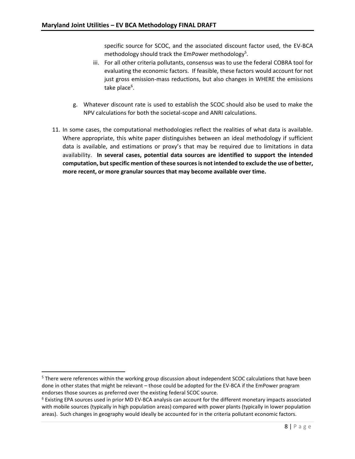specific source for SCOC, and the associated discount factor used, the EV-BCA methodology should track the EmPower methodology<sup>5</sup>.

- iii. For all other criteria pollutants, consensus was to use the federal COBRA tool for evaluating the economic factors. If feasible, these factors would account for not just gross emission-mass reductions, but also changes in WHERE the emissions take place<sup>6</sup>.
- g. Whatever discount rate is used to establish the SCOC should also be used to make the NPV calculations for both the societal-scope and ANRI calculations.
- 11. In some cases, the computational methodologies reflect the realities of what data is available. Where appropriate, this white paper distinguishes between an ideal methodology if sufficient data is available, and estimations or proxy's that may be required due to limitations in data availability. **In several cases, potential data sources are identified to support the intended computation, but specific mention of these sources is not intended to exclude the use of better, more recent, or more granular sources that may become available over time.**

<sup>&</sup>lt;sup>5</sup> There were references within the working group discussion about independent SCOC calculations that have been done in other states that might be relevant – those could be adopted for the EV-BCA if the EmPower program endorses those sources as preferred over the existing federal SCOC source.

<sup>6</sup> Existing EPA sources used in prior MD EV-BCA analysis can account for the different monetary impacts associated with mobile sources (typically in high population areas) compared with power plants (typically in lower population areas). Such changes in geography would ideally be accounted for in the criteria pollutant economic factors.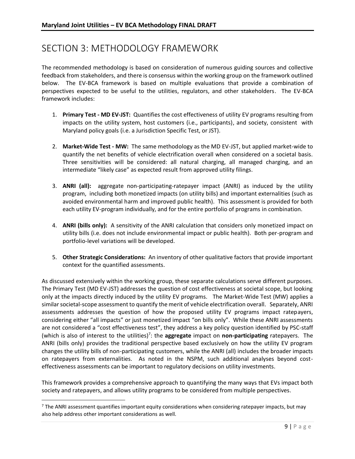# <span id="page-8-0"></span>SECTION 3: METHODOLOGY FRAMEWORK

The recommended methodology is based on consideration of numerous guiding sources and collective feedback from stakeholders, and there is consensus within the working group on the framework outlined below. The EV-BCA framework is based on multiple evaluations that provide a combination of perspectives expected to be useful to the utilities, regulators, and other stakeholders. The EV-BCA framework includes:

- 1. **Primary Test - MD EV-JST:** Quantifies the cost effectiveness of utility EV programs resulting from impacts on the utility system, host customers (i.e., participants), and society, consistent with Maryland policy goals (i.e. a Jurisdiction Specific Test, or JST).
- 2. **Market-Wide Test - MW:** The same methodology as the MD EV-JST, but applied market-wide to quantify the net benefits of vehicle electrification overall when considered on a societal basis. Three sensitivities will be considered: all natural charging, all managed charging, and an intermediate "likely case" as expected result from approved utility filings.
- 3. **ANRI (all):** aggregate non-participating-ratepayer impact (ANRI) as induced by the utility program, including both monetized impacts (on utility bills) and important externalities (such as avoided environmental harm and improved public health). This assessment is provided for both each utility EV-program individually, and for the entire portfolio of programs in combination.
- 4. **ANRI (bills only):** A sensitivity of the ANRI calculation that considers only monetized impact on utility bills (i.e. does not include environmental impact or public health). Both per-program and portfolio-level variations will be developed.
- 5. **Other Strategic Considerations:** An inventory of other qualitative factors that provide important context for the quantified assessments.

As discussed extensively within the working group, these separate calculations serve different purposes. The Primary Test (MD EV-JST) addresses the question of cost effectiveness at societal scope, but looking only at the impacts directly induced by the utility EV programs. The Market-Wide Test (MW) applies a similar societal-scope assessment to quantify the merit of vehicle electrification overall. Separately, ANRI assessments addresses the question of how the proposed utility EV programs impact ratepayers, considering either "all impacts" or just monetized impact "on bills only". While these ANRI assessments are not considered a "cost effectiveness test", they address a key policy question identified by PSC-staff (which is also of interest to the utilities)<sup>7</sup>: the **aggregate** impact on **non-participating** ratepayers. The ANRI (bills only) provides the traditional perspective based exclusively on how the utility EV program changes the utility bills of non-participating customers, while the ANRI (all) includes the broader impacts on ratepayers from externalities. As noted in the NSPM, such additional analyses beyond costeffectiveness assessments can be important to regulatory decisions on utility investments.

This framework provides a comprehensive approach to quantifying the many ways that EVs impact both society and ratepayers, and allows utility programs to be considered from multiple perspectives.

 $7$  The ANRI assessment quantifies important equity considerations when considering ratepayer impacts, but may also help address other important considerations as well.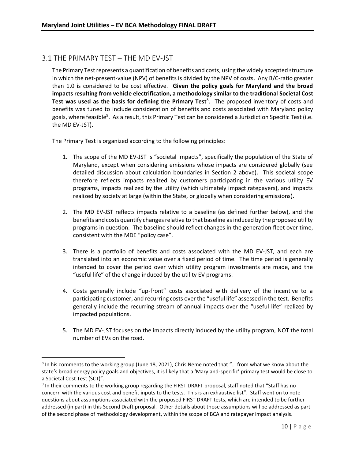#### <span id="page-9-0"></span>3.1 THE PRIMARY TEST – THE MD EV-JST

 $\overline{a}$ 

The Primary Test represents a quantification of benefits and costs, using the widely accepted structure in which the net-present-value (NPV) of benefits is divided by the NPV of costs. Any B/C-ratio greater than 1.0 is considered to be cost effective. **Given the policy goals for Maryland and the broad impacts resulting from vehicle electrification, a methodology similar to the traditional Societal Cost**  Test was used as the basis for defining the Primary Test<sup>8</sup>. The proposed inventory of costs and benefits was tuned to include consideration of benefits and costs associated with Maryland policy goals, where feasible<sup>9</sup>. As a result, this Primary Test can be considered a Jurisdiction Specific Test (i.e. the MD EV-JST).

The Primary Test is organized according to the following principles:

- 1. The scope of the MD EV-JST is "societal impacts", specifically the population of the State of Maryland, except when considering emissions whose impacts are considered globally (see detailed discussion about calculation boundaries in Section 2 above). This societal scope therefore reflects impacts realized by customers participating in the various utility EV programs, impacts realized by the utility (which ultimately impact ratepayers), and impacts realized by society at large (within the State, or globally when considering emissions).
- 2. The MD EV-JST reflects impacts relative to a baseline (as defined further below), and the benefits and costs quantify changes relative to that baseline as induced by the proposed utility programs in question. The baseline should reflect changes in the generation fleet over time, consistent with the MDE "policy case".
- 3. There is a portfolio of benefits and costs associated with the MD EV-JST, and each are translated into an economic value over a fixed period of time. The time period is generally intended to cover the period over which utility program investments are made, and the "useful life" of the change induced by the utility EV programs.
- 4. Costs generally include "up-front" costs associated with delivery of the incentive to a participating customer, and recurring costs over the "useful life" assessed in the test. Benefits generally include the recurring stream of annual impacts over the "useful life" realized by impacted populations.
- 5. The MD EV-JST focuses on the impacts directly induced by the utility program, NOT the total number of EVs on the road.

<sup>&</sup>lt;sup>8</sup> In his comments to the working group (June 18, 2021), Chris Neme noted that "... from what we know about the state's broad energy policy goals and objectives, it is likely that a 'Maryland-specific' primary test would be close to a Societal Cost Test (SCT)".

<sup>&</sup>lt;sup>9</sup> In their comments to the working group regarding the FIRST DRAFT proposal, staff noted that "Staff has no concern with the various cost and benefit inputs to the tests. This is an exhaustive list". Staff went on to note questions about assumptions associated with the proposed FIRST DRAFT tests, which are intended to be further addressed (in part) in this Second Draft proposal. Other details about those assumptions will be addressed as part of the second phase of methodology development, within the scope of BCA and ratepayer impact analysis.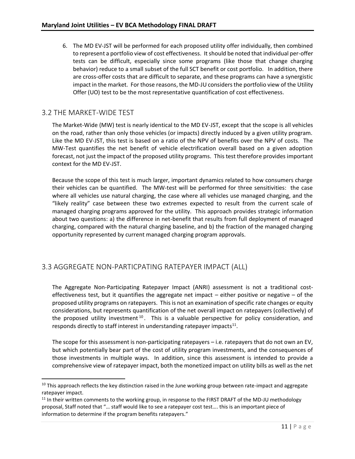6. The MD EV-JST will be performed for each proposed utility offer individually, then combined to represent a portfolio view of cost effectiveness. It should be noted that individual per-offer tests can be difficult, especially since some programs (like those that change charging behavior) reduce to a small subset of the full SCT benefit or cost portfolio. In addition, there are cross-offer costs that are difficult to separate, and these programs can have a synergistic impact in the market. For those reasons, the MD-JU considers the portfolio view of the Utility Offer (UO) test to be the most representative quantification of cost effectiveness.

#### <span id="page-10-0"></span>3.2 THE MARKET-WIDE TEST

l

The Market-Wide (MW) test is nearly identical to the MD EV-JST, except that the scope is all vehicles on the road, rather than only those vehicles (or impacts) directly induced by a given utility program. Like the MD EV-JST, this test is based on a ratio of the NPV of benefits over the NPV of costs. The MW-Test quantifies the net benefit of vehicle electrification overall based on a given adoption forecast, not just the impact of the proposed utility programs. This test therefore provides important context for the MD EV-JST.

Because the scope of this test is much larger, important dynamics related to how consumers charge their vehicles can be quantified. The MW-test will be performed for three sensitivities: the case where all vehicles use natural charging, the case where all vehicles use managed charging, and the "likely reality" case between these two extremes expected to result from the current scale of managed charging programs approved for the utility. This approach provides strategic information about two questions: a) the difference in net-benefit that results from full deployment of managed charging, compared with the natural charging baseline, and b) the fraction of the managed charging opportunity represented by current managed charging program approvals.

### <span id="page-10-1"></span>3.3 AGGREGATE NON-PARTICPATING RATEPAYER IMPACT (ALL)

The Aggregate Non-Participating Ratepayer Impact (ANRI) assessment is not a traditional costeffectiveness test, but it quantifies the aggregate net impact  $-$  either positive or negative  $-$  of the proposed utility programs on ratepayers. This is not an examination of specific rate changes or equity considerations, but represents quantification of the net overall impact on ratepayers (collectively) of the proposed utility investment<sup>10</sup>. This is a valuable perspective for policy consideration, and responds directly to staff interest in understanding ratepayer impacts $^{11}$ .

The scope for this assessment is non-participating ratepayers – i.e. ratepayers that do not own an EV, but which potentially bear part of the cost of utility program investments, and the consequences of those investments in multiple ways. In addition, since this assessment is intended to provide a comprehensive view of ratepayer impact, both the monetized impact on utility bills as well as the net

<sup>&</sup>lt;sup>10</sup> This approach reflects the key distinction raised in the June working group between rate-impact and aggregate ratepayer impact.

<sup>&</sup>lt;sup>11</sup> In their written comments to the working group, in response to the FIRST DRAFT of the MD-JU methodology proposal, Staff noted that "… staff would like to see a ratepayer cost test…. this is an important piece of information to determine if the program benefits ratepayers."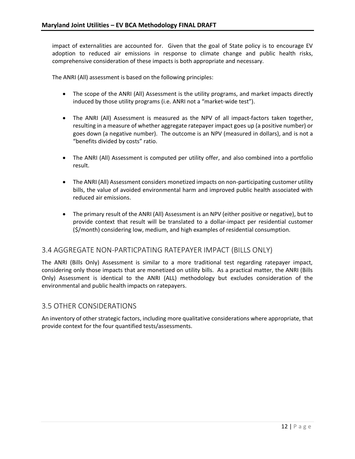impact of externalities are accounted for. Given that the goal of State policy is to encourage EV adoption to reduced air emissions in response to climate change and public health risks, comprehensive consideration of these impacts is both appropriate and necessary.

The ANRI (All) assessment is based on the following principles:

- The scope of the ANRI (All) Assessment is the utility programs, and market impacts directly induced by those utility programs (i.e. ANRI not a "market-wide test").
- The ANRI (All) Assessment is measured as the NPV of all impact-factors taken together, resulting in a measure of whether aggregate ratepayer impact goes up (a positive number) or goes down (a negative number). The outcome is an NPV (measured in dollars), and is not a "benefits divided by costs" ratio.
- The ANRI (All) Assessment is computed per utility offer, and also combined into a portfolio result.
- The ANRI (All) Assessment considers monetized impacts on non-participating customer utility bills, the value of avoided environmental harm and improved public health associated with reduced air emissions.
- The primary result of the ANRI (All) Assessment is an NPV (either positive or negative), but to provide context that result will be translated to a dollar-impact per residential customer (\$/month) considering low, medium, and high examples of residential consumption.

### <span id="page-11-0"></span>3.4 AGGREGATE NON-PARTICPATING RATEPAYER IMPACT (BILLS ONLY)

The ANRI (Bills Only) Assessment is similar to a more traditional test regarding ratepayer impact, considering only those impacts that are monetized on utility bills. As a practical matter, the ANRI (Bills Only) Assessment is identical to the ANRI (ALL) methodology but excludes consideration of the environmental and public health impacts on ratepayers.

#### <span id="page-11-1"></span>3.5 OTHER CONSIDERATIONS

An inventory of other strategic factors, including more qualitative considerations where appropriate, that provide context for the four quantified tests/assessments.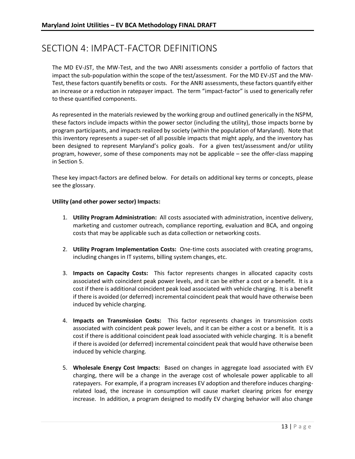# <span id="page-12-0"></span>SECTION 4: IMPACT-FACTOR DEFINITIONS

The MD EV-JST, the MW-Test, and the two ANRI assessments consider a portfolio of factors that impact the sub-population within the scope of the test/assessment. For the MD EV-JST and the MW-Test, these factors quantify benefits or costs. For the ANRI assessments, these factors quantify either an increase or a reduction in ratepayer impact. The term "impact-factor" is used to generically refer to these quantified components.

As represented in the materials reviewed by the working group and outlined generically in the NSPM, these factors include impacts within the power sector (including the utility), those impacts borne by program participants, and impacts realized by society (within the population of Maryland). Note that this inventory represents a super-set of all possible impacts that might apply, and the inventory has been designed to represent Maryland's policy goals. For a given test/assessment and/or utility program, however, some of these components may not be applicable – see the offer-class mapping in Section 5.

These key impact-factors are defined below. For details on additional key terms or concepts, please see the glossary.

#### **Utility (and other power sector) Impacts:**

- 1. **Utility Program Administration:** All costs associated with administration, incentive delivery, marketing and customer outreach, compliance reporting, evaluation and BCA, and ongoing costs that may be applicable such as data collection or networking costs.
- 2. **Utility Program Implementation Costs:** One-time costs associated with creating programs, including changes in IT systems, billing system changes, etc.
- 3. **Impacts on Capacity Costs:** This factor represents changes in allocated capacity costs associated with coincident peak power levels, and it can be either a cost or a benefit. It is a cost if there is additional coincident peak load associated with vehicle charging. It is a benefit if there is avoided (or deferred) incremental coincident peak that would have otherwise been induced by vehicle charging.
- 4. **Impacts on Transmission Costs:** This factor represents changes in transmission costs associated with coincident peak power levels, and it can be either a cost or a benefit. It is a cost if there is additional coincident peak load associated with vehicle charging. It is a benefit if there is avoided (or deferred) incremental coincident peak that would have otherwise been induced by vehicle charging.
- 5. **Wholesale Energy Cost Impacts:** Based on changes in aggregate load associated with EV charging, there will be a change in the average cost of wholesale power applicable to all ratepayers. For example, if a program increases EV adoption and therefore induces chargingrelated load, the increase in consumption will cause market clearing prices for energy increase. In addition, a program designed to modify EV charging behavior will also change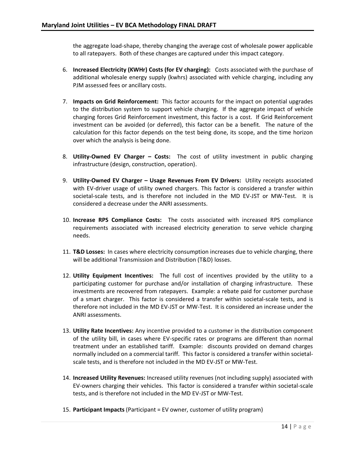the aggregate load-shape, thereby changing the average cost of wholesale power applicable to all ratepayers. Both of these changes are captured under this impact category.

- 6. **Increased Electricity (KWHr) Costs (for EV charging):** Costs associated with the purchase of additional wholesale energy supply (kwhrs) associated with vehicle charging, including any PJM assessed fees or ancillary costs.
- 7. **Impacts on Grid Reinforcement:** This factor accounts for the impact on potential upgrades to the distribution system to support vehicle charging. If the aggregate impact of vehicle charging forces Grid Reinforcement investment, this factor is a cost. If Grid Reinforcement investment can be avoided (or deferred), this factor can be a benefit. The nature of the calculation for this factor depends on the test being done, its scope, and the time horizon over which the analysis is being done.
- 8. **Utility-Owned EV Charger – Costs:** The cost of utility investment in public charging infrastructure (design, construction, operation).
- 9. **Utility-Owned EV Charger – Usage Revenues From EV Drivers:** Utility receipts associated with EV-driver usage of utility owned chargers. This factor is considered a transfer within societal-scale tests, and is therefore not included in the MD EV-JST or MW-Test. It is considered a decrease under the ANRI assessments.
- 10. **Increase RPS Compliance Costs:** The costs associated with increased RPS compliance requirements associated with increased electricity generation to serve vehicle charging needs.
- 11. **T&D Losses:** In cases where electricity consumption increases due to vehicle charging, there will be additional Transmission and Distribution (T&D) losses.
- 12. **Utility Equipment Incentives:** The full cost of incentives provided by the utility to a participating customer for purchase and/or installation of charging infrastructure. These investments are recovered from ratepayers. Example: a rebate paid for customer purchase of a smart charger. This factor is considered a transfer within societal-scale tests, and is therefore not included in the MD EV-JST or MW-Test. It is considered an increase under the ANRI assessments.
- 13. **Utility Rate Incentives:** Any incentive provided to a customer in the distribution component of the utility bill, in cases where EV-specific rates or programs are different than normal treatment under an established tariff. Example: discounts provided on demand charges normally included on a commercial tariff. This factor is considered a transfer within societalscale tests, and is therefore not included in the MD EV-JST or MW-Test.
- 14. **Increased Utility Revenues:** Increased utility revenues (not including supply) associated with EV-owners charging their vehicles. This factor is considered a transfer within societal-scale tests, and is therefore not included in the MD EV-JST or MW-Test.
- 15. **Participant Impacts** (Participant = EV owner, customer of utility program)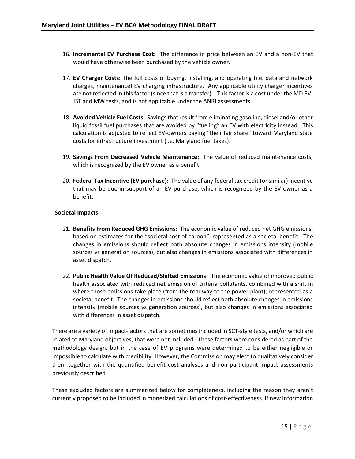- 16. **Incremental EV Purchase Cost:** The difference in price between an EV and a non-EV that would have otherwise been purchased by the vehicle owner.
- 17. **EV Charger Costs:** The full costs of buying, installing, and operating (i.e. data and network charges, maintenance) EV charging infrastructure. Any applicable utility charger incentives are not reflected in this factor (since that is a transfer). This factor is a cost under the MD EV-JST and MW tests, and is not applicable under the ANRI assessments.
- 18. **Avoided Vehicle Fuel Costs:** Savings that result from eliminating gasoline, diesel and/or other liquid fossil fuel purchases that are avoided by "fueling" an EV with electricity instead. This calculation is adjusted to reflect EV-owners paying "their fair share" toward Maryland state costs for infrastructure investment (i.e. Maryland fuel taxes).
- 19. **Savings From Decreased Vehicle Maintenance:** The value of reduced maintenance costs, which is recognized by the EV owner as a benefit.
- 20. **Federal Tax Incentive (EV purchase):** The value of any federal tax credit (or similar) incentive that may be due in support of an EV purchase, which is recognized by the EV owner as a benefit.

#### **Societal Impacts**:

- 21. **Benefits From Reduced GHG Emissions:** The economic value of reduced net GHG emissions, based on estimates for the "societal cost of carbon", represented as a societal benefit. The changes in emissions should reflect both absolute changes in emissions intensity (mobile sources vs generation sources), but also changes in emissions associated with differences in asset dispatch.
- 22. **Public Health Value Of Reduced/Shifted Emissions:** The economic value of improved public health associated with reduced net emission of criteria pollutants, combined with a shift in where those emissions take place (from the roadway to the power plant), represented as a societal benefit. The changes in emissions should reflect both absolute changes in emissions intensity (mobile sources vs generation sources), but also changes in emissions associated with differences in asset dispatch.

There are a variety of impact-factors that are sometimes included in SCT-style tests, and/or which are related to Maryland objectives, that were not included. These factors were considered as part of the methodology design, but in the case of EV programs were determined to be either negligible or impossible to calculate with credibility. However, the Commission may elect to qualitatively consider them together with the quantified benefit cost analyses and non-participant impact assessments previously described.

These excluded factors are summarized below for completeness, including the reason they aren't currently proposed to be included in monetized calculations of cost-effectiveness. If new information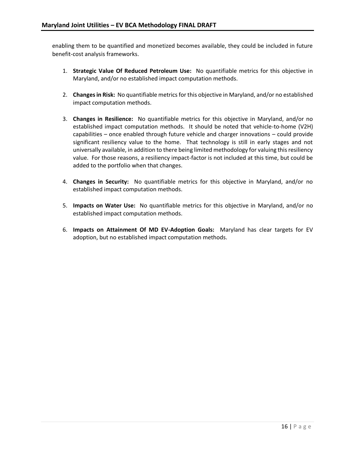enabling them to be quantified and monetized becomes available, they could be included in future benefit-cost analysis frameworks.

- 1. **Strategic Value Of Reduced Petroleum Use:** No quantifiable metrics for this objective in Maryland, and/or no established impact computation methods.
- 2. **Changes in Risk:** No quantifiable metrics for this objective in Maryland, and/or no established impact computation methods.
- 3. **Changes in Resilience:** No quantifiable metrics for this objective in Maryland, and/or no established impact computation methods. It should be noted that vehicle-to-home (V2H) capabilities – once enabled through future vehicle and charger innovations – could provide significant resiliency value to the home. That technology is still in early stages and not universally available, in addition to there being limited methodology for valuing this resiliency value. For those reasons, a resiliency impact-factor is not included at this time, but could be added to the portfolio when that changes.
- 4. **Changes in Security:** No quantifiable metrics for this objective in Maryland, and/or no established impact computation methods.
- 5. **Impacts on Water Use:** No quantifiable metrics for this objective in Maryland, and/or no established impact computation methods.
- 6. **Impacts on Attainment Of MD EV-Adoption Goals:** Maryland has clear targets for EV adoption, but no established impact computation methods.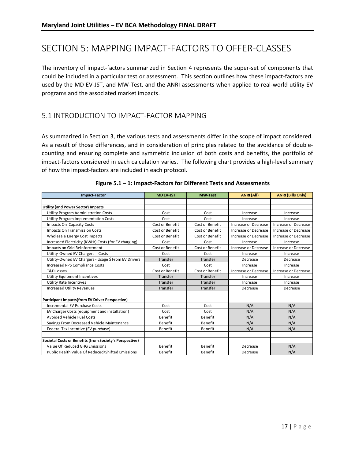# <span id="page-16-0"></span>SECTION 5: MAPPING IMPACT-FACTORS TO OFFER-CLASSES

The inventory of impact-factors summarized in Section 4 represents the super-set of components that could be included in a particular test or assessment. This section outlines how these impact-factors are used by the MD EV-JST, and MW-Test, and the ANRI assessments when applied to real-world utility EV programs and the associated market impacts.

#### <span id="page-16-1"></span>5.1 INTRODUCTION TO IMPACT-FACTOR MAPPING

As summarized in Section 3, the various tests and assessments differ in the scope of impact considered. As a result of those differences, and in consideration of principles related to the avoidance of doublecounting and ensuring complete and symmetric inclusion of both costs and benefits, the portfolio of impact-factors considered in each calculation varies. The following chart provides a high-level summary of how the impact-factors are included in each protocol.

| <b>Impact-Factor</b>                                    | <b>MD EV-JST</b> | <b>MW-Test</b>  | <b>ANRI (All)</b>    | <b>ANRI (Bills Only)</b> |
|---------------------------------------------------------|------------------|-----------------|----------------------|--------------------------|
|                                                         |                  |                 |                      |                          |
| <b>Utility (and Power Sector) Impacts</b>               |                  |                 |                      |                          |
| <b>Utility Program Administration Costs</b>             | Cost             | Cost            | Increase             | Increase                 |
| Utility Program Implementation Costs                    | Cost             | Cost            | Increase             | Increase                 |
| Impacts On Capacity Costs                               | Cost or Benefit  | Cost or Benefit | Increase or Decrease | Increase or Decrease     |
| Impacts On Transmission Costs                           | Cost or Benefit  | Cost or Benefit | Increase or Decrease | Increase or Decrease     |
| Wholesale Energy Cost Impacts                           | Cost or Benefit  | Cost or Benefit | Increase or Decrease | Increase or Decrease     |
| Increased Electricity (KWHr) Costs (for EV charging)    | Cost             | Cost            | Increase             | Increase                 |
| Impacts on Grid Reinforcement                           | Cost or Benefit  | Cost or Benefit | Increase or Decrease | Increase or Decrease     |
| Utility-Owned EV Chargers - Costs                       | Cost             | Cost            | Increase             | Increase                 |
| Utility-Owned EV Chargers - Usage \$ From EV Drivers    | Transfer         | Transfer        | Decrease             | Decrease                 |
| Increased RPS Compliance Costs                          | Cost             | Cost            | Increase             | Increase                 |
| <b>T&amp;D Losses</b>                                   | Cost or Benefit  | Cost or Benefit | Increase or Decrease | Increase or Decrease     |
| <b>Utility Equipment Incentives</b>                     | Transfer         | Transfer        | Increase             | Increase                 |
| Utility Rate Incentives                                 | Transfer         | Transfer        | Increase             | Increase                 |
| <b>Increased Utility Revenues</b>                       | Transfer         | Transfer        | Decrease             | Decrease                 |
|                                                         |                  |                 |                      |                          |
| <b>Participant Impacts(from EV Driver Perspective)</b>  |                  |                 |                      |                          |
| Incremental EV Purchase Costs                           | Cost             | Cost            | N/A                  | N/A                      |
| EV Charger Costs (equipment and installation)           | Cost             | Cost            | N/A                  | N/A                      |
| <b>Avoided Vehicle Fuel Costs</b>                       | Benefit          | Benefit         | N/A                  | N/A                      |
| Savings From Decreased Vehicle Maintenance              | Benefit          | Benefit         | N/A                  | N/A                      |
| Federal Tax Incentive (EV purchase)                     | Benefit          | Benefit         | N/A                  | N/A                      |
|                                                         |                  |                 |                      |                          |
| Societal Costs or Benefits (from Society's Perspective) |                  |                 |                      |                          |
| Value Of Reduced GHG Emissions                          | Benefit          | Benefit         | Decrease             | N/A                      |
| Public Health Value Of Reduced/Shifted Emissions        | Benefit          | Benefit         | Decrease             | N/A                      |

#### **Figure 5.1 – 1: Impact-Factors for Different Tests and Assessments**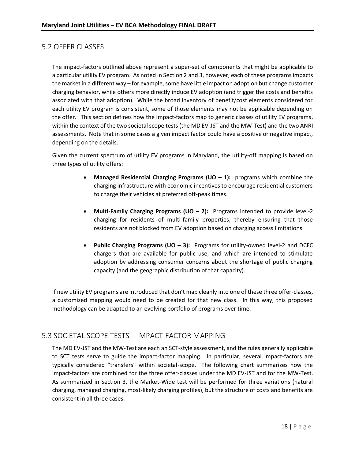### <span id="page-17-0"></span>5.2 OFFER CLASSES

The impact-factors outlined above represent a super-set of components that might be applicable to a particular utility EV program. As noted in Section 2 and 3, however, each of these programs impacts the market in a different way – for example, some have little impact on adoption but change customer charging behavior, while others more directly induce EV adoption (and trigger the costs and benefits associated with that adoption). While the broad inventory of benefit/cost elements considered for each utility EV program is consistent, some of those elements may not be applicable depending on the offer. This section defines how the impact-factors map to generic classes of utility EV programs, within the context of the two societal scope tests (the MD EV-JST and the MW-Test) and the two ANRI assessments. Note that in some cases a given impact factor could have a positive or negative impact, depending on the details.

Given the current spectrum of utility EV programs in Maryland, the utility-off mapping is based on three types of utility offers:

- **Managed Residential Charging Programs (UO – 1):** programs which combine the charging infrastructure with economic incentives to encourage residential customers to charge their vehicles at preferred off-peak times.
- **Multi-Family Charging Programs (UO – 2):** Programs intended to provide level-2 charging for residents of multi-family properties, thereby ensuring that those residents are not blocked from EV adoption based on charging access limitations.
- **Public Charging Programs (UO 3):** Programs for utility-owned level-2 and DCFC chargers that are available for public use, and which are intended to stimulate adoption by addressing consumer concerns about the shortage of public charging capacity (and the geographic distribution of that capacity).

If new utility EV programs are introduced that don't map cleanly into one of these three offer-classes, a customized mapping would need to be created for that new class. In this way, this proposed methodology can be adapted to an evolving portfolio of programs over time.

### <span id="page-17-1"></span>5.3 SOCIETAL SCOPE TESTS – IMPACT-FACTOR MAPPING

The MD EV-JST and the MW-Test are each an SCT-style assessment, and the rules generally applicable to SCT tests serve to guide the impact-factor mapping. In particular, several impact-factors are typically considered "transfers" within societal-scope. The following chart summarizes how the impact-factors are combined for the three offer-classes under the MD EV-JST and for the MW-Test. As summarized in Section 3, the Market-Wide test will be performed for three variations (natural charging, managed charging, most-likely charging profiles), but the structure of costs and benefits are consistent in all three cases.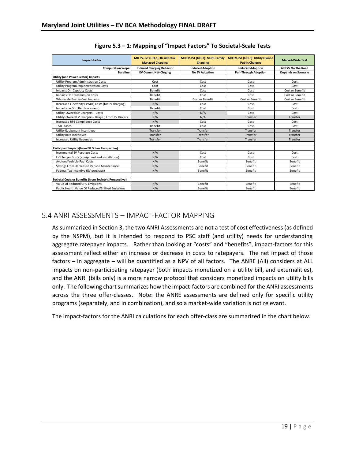| <b>Impact-Factor</b>                                    | MD EV-JST (UO-1): Residential    | MD EV-JST (UO-2): Multi-Family | MD EV-JST (UO-3): Utility Owned | <b>Market-Wide Test</b>    |
|---------------------------------------------------------|----------------------------------|--------------------------------|---------------------------------|----------------------------|
|                                                         | <b>Managed Charging</b>          | Charging                       | <b>Public Chargers</b>          |                            |
| <b>Computation Scope:</b>                               | <b>Induced Charging Behavior</b> | <b>Induced Adoption</b>        | <b>Induced Adoption</b>         | All EVs On The Road        |
| <b>Baseline:</b>                                        | <b>EV Owner, Nat-Chrging</b>     | <b>No EV Adoption</b>          | <b>Pull-Through Adoption</b>    | <b>Depends on Scenario</b> |
| <b>Utility (and Power Sector) Impacts</b>               |                                  |                                |                                 |                            |
| Utility Program Administration Costs                    | Cost                             | Cost                           | Cost                            | Cost                       |
| Utility Program Implementation Costs                    | Cost                             | Cost                           | Cost                            | Cost                       |
| Impacts On Capacity Costs                               | Benefit                          | Cost                           | Cost                            | Cost or Benefit            |
| Impacts On Transmission Costs                           | Benefit                          | Cost                           | Cost                            | Cost or Benefit            |
| <b>Wholesale Energy Cost Impacts</b>                    | Benefit                          | Cost or Benefit                | Cost or Benefit                 | Cost or Benefit            |
| Increased Electricity (KWHr) Costs (for EV charging)    | N/A                              | Cost                           | Cost                            | Cost                       |
| Impacts on Grid Reinforcement                           | Benefit                          | Cost                           | Cost                            | Cost                       |
| Utility-Owned EV Chargers - Costs                       | N/A                              | N/A                            | Cost                            | Cost                       |
| Utility-Owned EV Chargers - Usage \$ From EV Drivers    | N/A                              | N/A                            | Transfer                        | Transfer                   |
| <b>Increased RPS Compliance Costs</b>                   | N/A                              | Cost                           | Cost                            | Cost                       |
| <b>T&amp;D Losses</b>                                   | Benefit                          | Cost                           | Cost                            | Cost                       |
| Utility Equipment Incentives                            | Transfer                         | Transfer                       | Transfer                        | Transfer                   |
| <b>Utility Rate Incentives</b>                          | Transfer                         | Transfer                       | Transfer                        | Transfer                   |
| <b>Increased Utility Revenues</b>                       | Transfer                         | Transfer                       | Transfer                        | Transfer                   |
|                                                         |                                  |                                |                                 |                            |
| Participant Impacts(from EV Driver Perspective)         |                                  |                                |                                 |                            |
| Incremental EV Purchase Costs                           | N/A                              | Cost                           | Cost                            | Cost                       |
| EV Charger Costs (equipment and installation)           | N/A                              | Cost                           | Cost                            | Cost                       |
| <b>Avoided Vehicle Fuel Costs</b>                       | N/A                              | <b>Benefit</b>                 | <b>Benefit</b>                  | <b>Benefit</b>             |
| Savings From Decreased Vehicle Maintenance              | N/A                              | Benefit                        | Benefit                         | Benefit                    |
| Federal Tax Incentive (EV purchase)                     | N/A                              | Benefit                        | Benefit                         | Benefit                    |
|                                                         |                                  |                                |                                 |                            |
| Societal Costs or Benefits (from Society's Perspective) |                                  |                                |                                 |                            |
| Value Of Reduced GHG Emissions                          | N/A                              | Benefit                        | Benefit                         | Benefit                    |
| Public Health Value Of Reduced/Shifted Emissions        | N/A                              | Benefit                        | Benefit                         | Benefit                    |

| Figure 5.3 - 1: Mapping of "Impact Factors" To Societal-Scale Tests |  |
|---------------------------------------------------------------------|--|
|---------------------------------------------------------------------|--|

### <span id="page-18-0"></span>5.4 ANRI ASSESSMENTS – IMPACT-FACTOR MAPPING

As summarized in Section 3, the two ANRI Assessments are not a test of cost effectiveness (as defined by the NSPM), but it is intended to respond to PSC staff (and utility) needs for understanding aggregate ratepayer impacts. Rather than looking at "costs" and "benefits", impact-factors for this assessment reflect either an increase or decrease in costs to ratepayers. The net impact of those factors – in aggregate – will be quantified as a NPV of all factors. The ANRE (All) considers at ALL impacts on non-participating ratepayer (both impacts monetized on a utility bill, and externalities), and the ANRI (bills only) is a more narrow protocol that considers monetized impacts on utility bills only. The following chart summarizes how the impact-factors are combined for the ANRI assessments across the three offer-classes. Note: the ANRE assessments are defined only for specific utility programs (separately, and in combination), and so a market-wide variation is not relevant.

The impact-factors for the ANRI calculations for each offer-class are summarized in the chart below.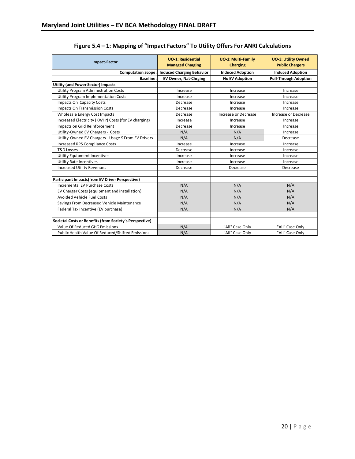| <b>Impact-Factor</b>                                    | <b>UO-1: Residential</b><br><b>Managed Charging</b> | <b>UO-2: Multi-Family</b><br><b>Charging</b> | <b>UO-3: Utility Owned</b><br><b>Public Chargers</b> |
|---------------------------------------------------------|-----------------------------------------------------|----------------------------------------------|------------------------------------------------------|
| <b>Computation Scope:</b>                               | <b>Induced Charging Behavior</b>                    | <b>Induced Adoption</b>                      | <b>Induced Adoption</b>                              |
| <b>Baseline:</b>                                        | <b>EV Owner, Nat-Chrging</b>                        | <b>No EV Adoption</b>                        | <b>Pull-Through Adoption</b>                         |
| <b>Utility (and Power Sector) Impacts</b>               |                                                     |                                              |                                                      |
| Utility Program Administration Costs                    | Increase                                            | Increase                                     | Increase                                             |
| Utility Program Implementation Costs                    | Increase                                            | Increase                                     | Increase                                             |
| Impacts On Capacity Costs                               | Decrease                                            | Increase                                     | Increase                                             |
| <b>Impacts On Transmission Costs</b>                    | Decrease                                            | Increase                                     | Increase                                             |
| Wholesale Energy Cost Impacts                           | Decrease                                            | Increase or Decrease                         | Increase or Decrease                                 |
| Increased Electricity (KWHr) Costs (for EV charging)    | Increase                                            | Increase                                     | Increase                                             |
| Impacts on Grid Reinforcement                           | Decrease                                            | Increase                                     | Increase                                             |
| Utility-Owned EV Chargers - Costs                       | N/A                                                 | N/A                                          | Increase                                             |
| Utility-Owned EV Chargers - Usage \$ From EV Drivers    | N/A                                                 | N/A                                          | Decrease                                             |
| <b>Increased RPS Compliance Costs</b>                   | Increase                                            | Increase                                     | Increase                                             |
| <b>T&amp;D Losses</b>                                   | Decrease                                            | Increase                                     | Increase                                             |
| <b>Utility Equipment Incentives</b>                     | Increase                                            | Increase                                     | Increase                                             |
| <b>Utility Rate Incentives</b>                          | Increase                                            | Increase                                     | Increase                                             |
| <b>Increased Utility Revenues</b>                       | Decrease                                            | Decrease                                     | Decrease                                             |
|                                                         |                                                     |                                              |                                                      |
| Participant Impacts(from EV Driver Perspective)         |                                                     |                                              |                                                      |
| <b>Incremental EV Purchase Costs</b>                    | N/A                                                 | N/A                                          | N/A                                                  |
| EV Charger Costs (equipment and installation)           | N/A                                                 | N/A                                          | N/A                                                  |
| <b>Avoided Vehicle Fuel Costs</b>                       | N/A                                                 | N/A                                          | N/A                                                  |
| Savings From Decreased Vehicle Maintenance              | N/A                                                 | N/A                                          | N/A                                                  |
| Federal Tax Incentive (EV purchase)                     | N/A                                                 | N/A                                          | N/A                                                  |
|                                                         |                                                     |                                              |                                                      |
| Societal Costs or Benefits (from Society's Perspective) |                                                     |                                              |                                                      |
| Value Of Reduced GHG Emissions                          | N/A                                                 | "All" Case Only                              | "All" Case Only                                      |
| Public Health Value Of Reduced/Shifted Emissions        | N/A                                                 | "All" Case Only                              | "All" Case Only                                      |

### **Figure 5.4 – 1: Mapping of "Impact Factors" To Utility Offers For ANRI Calculations**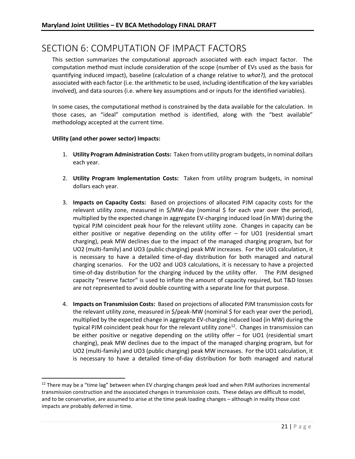### <span id="page-20-0"></span>SECTION 6: COMPUTATION OF IMPACT FACTORS

This section summarizes the computational approach associated with each impact factor. The computation method must include consideration of the scope (number of EVs used as the basis for quantifying induced impact), baseline (calculation of a change relative to *what?),* and the protocol associated with each factor (i.e. the arithmetic to be used, including identification of the key variables involved), and data sources (i.e. where key assumptions and or inputs for the identified variables).

In some cases, the computational method is constrained by the data available for the calculation. In those cases, an "ideal" computation method is identified, along with the "best available" methodology accepted at the current time.

#### **Utility (and other power sector) Impacts:**

- 1. **Utility Program Administration Costs:** Taken from utility program budgets, in nominal dollars each year.
- 2. **Utility Program Implementation Costs:** Taken from utility program budgets, in nominal dollars each year.
- 3. **Impacts on Capacity Costs:** Based on projections of allocated PJM capacity costs for the relevant utility zone, measured in  $$/MW-day$  (nominal  $$$  for each year over the period), multiplied by the expected change in aggregate EV-charging induced load (in MW) during the typical PJM coincident peak hour for the relevant utility zone. Changes in capacity can be either positive or negative depending on the utility offer – for UO1 (residential smart charging), peak MW declines due to the impact of the managed charging program, but for UO2 (multi-family) and UO3 (public charging) peak MW increases. For the UO1 calculation, it is necessary to have a detailed time-of-day distribution for both managed and natural charging scenarios. For the UO2 and UO3 calculations, it is necessary to have a projected time-of-day distribution for the charging induced by the utility offer. The PJM designed capacity "reserve factor" is used to inflate the amount of capacity required, but T&D losses are not represented to avoid double counting with a separate line for that purpose.
- 4. **Impacts on Transmission Costs:** Based on projections of allocated PJM transmission costs for the relevant utility zone, measured in \$/peak-MW (nominal \$ for each year over the period), multiplied by the expected change in aggregate EV-charging induced load (in MW) during the typical PJM coincident peak hour for the relevant utility zone<sup>12</sup>. Changes in transmission can be either positive or negative depending on the utility offer – for UO1 (residential smart charging), peak MW declines due to the impact of the managed charging program, but for UO2 (multi-family) and UO3 (public charging) peak MW increases. For the UO1 calculation, it is necessary to have a detailed time-of-day distribution for both managed and natural

<sup>&</sup>lt;sup>12</sup> There may be a "time lag" between when EV charging changes peak load and when PJM authorizes incremental transmission construction and the associated changes in transmission costs. These delays are difficult to model, and to be conservative, are assumed to arise at the time peak loading changes – although in reality those cost impacts are probably deferred in time.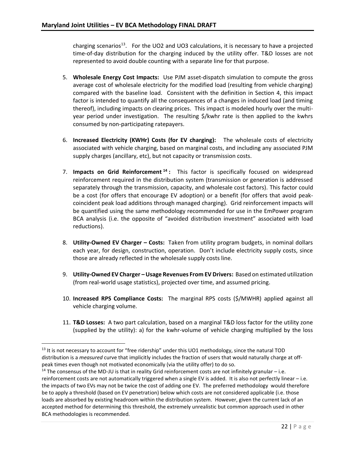charging scenarios<sup>13</sup>. For the UO2 and UO3 calculations, it is necessary to have a projected time-of-day distribution for the charging induced by the utility offer. T&D losses are not represented to avoid double counting with a separate line for that purpose.

- 5. **Wholesale Energy Cost Impacts:** Use PJM asset-dispatch simulation to compute the gross average cost of wholesale electricity for the modified load (resulting from vehicle charging) compared with the baseline load. Consistent with the definition in Section 4, this impact factor is intended to quantify all the consequences of a changes in induced load (and timing thereof), including impacts on clearing prices. This impact is modeled hourly over the multiyear period under investigation. The resulting \$/kwhr rate is then applied to the kwhrs consumed by non-participating ratepayers.
- 6. **Increased Electricity (KWHr) Costs (for EV charging):** The wholesale costs of electricity associated with vehicle charging, based on marginal costs, and including any associated PJM supply charges (ancillary, etc), but not capacity or transmission costs.
- 7. **Impacts on Grid Reinforcement <sup>14</sup> :** This factor is specifically focused on widespread reinforcement required in the distribution system (transmission or generation is addressed separately through the transmission, capacity, and wholesale cost factors). This factor could be a cost (for offers that encourage EV adoption) or a benefit (for offers that avoid peakcoincident peak load additions through managed charging). Grid reinforcement impacts will be quantified using the same methodology recommended for use in the EmPower program BCA analysis (i.e. the opposite of "avoided distribution investment" associated with load reductions).
- 8. **Utility-Owned EV Charger – Costs:** Taken from utility program budgets, in nominal dollars each year, for design, construction, operation. Don't include electricity supply costs, since those are already reflected in the wholesale supply costs line.
- 9. **Utility-Owned EV Charger Usage Revenues From EV Drivers: Based on estimated utilization** (from real-world usage statistics), projected over time, and assumed pricing.
- 10. **Increased RPS Compliance Costs:** The marginal RPS costs (\$/MWHR) applied against all vehicle charging volume.
- 11. **T&D Losses:** A two part calculation, based on a marginal T&D loss factor for the utility zone (supplied by the utility): a) for the kwhr-volume of vehicle charging multiplied by the loss

 $13$  It is not necessary to account for "free ridership" under this UO1 methodology, since the natural TOD distribution is a *measured* curve that implicitly includes the fraction of users that would naturally charge at offpeak times even though not motivated economically (via the utility offer) to do so.

<sup>&</sup>lt;sup>14</sup> The consensus of the MD-JU is that in reality Grid reinforcement costs are not infinitely granular - i.e. reinforcement costs are not automatically triggered when a single EV is added. It is also not perfectly linear – i.e. the impacts of two EVs may not be twice the cost of adding one EV. The preferred methodology would therefore be to apply a threshold (based on EV penetration) below which costs are not considered applicable (i.e. those loads are absorbed by existing headroom within the distribution system. However, given the current lack of an accepted method for determining this threshold, the extremely unrealistic but common approach used in other BCA methodologies is recommended.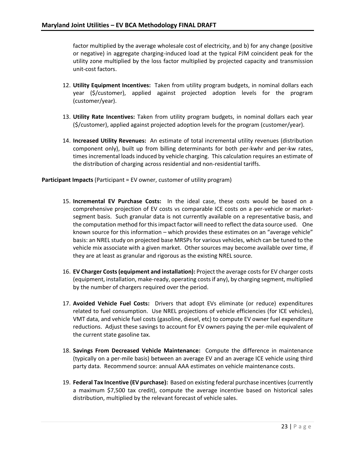factor multiplied by the average wholesale cost of electricity, and b) for any change (positive or negative) in aggregate charging-induced load at the typical PJM coincident peak for the utility zone multiplied by the loss factor multiplied by projected capacity and transmission unit-cost factors.

- 12. **Utility Equipment Incentives:** Taken from utility program budgets, in nominal dollars each year (\$/customer), applied against projected adoption levels for the program (customer/year).
- 13. **Utility Rate Incentives:** Taken from utility program budgets, in nominal dollars each year (\$/customer), applied against projected adoption levels for the program (customer/year).
- 14. **Increased Utility Revenues:** An estimate of total incremental utility revenues (distribution component only), built up from billing determinants for both per-kwhr and per-kw rates, times incremental loads induced by vehicle charging. This calculation requires an estimate of the distribution of charging across residential and non-residential tariffs.

**Participant Impacts** (Participant = EV owner, customer of utility program)

- 15. **Incremental EV Purchase Costs:** In the ideal case, these costs would be based on a comprehensive projection of EV costs vs comparable ICE costs on a per-vehicle or marketsegment basis. Such granular data is not currently available on a representative basis, and the computation method for this impact factor will need to reflect the data source used. One known source for this information – which provides these estimates on an "average vehicle" basis: an NREL study on projected base MRSPs for various vehicles, which can be tuned to the vehicle mix associate with a given market. Other sources may become available over time, if they are at least as granular and rigorous as the existing NREL source.
- 16. **EV Charger Costs(equipment and installation):** Project the average costs for EV charger costs (equipment, installation, make-ready, operating costs if any), by charging segment, multiplied by the number of chargers required over the period.
- 17. **Avoided Vehicle Fuel Costs:** Drivers that adopt EVs eliminate (or reduce) expenditures related to fuel consumption. Use NREL projections of vehicle efficiencies (for ICE vehicles), VMT data, and vehicle fuel costs (gasoline, diesel, etc) to compute EV owner fuel expenditure reductions. Adjust these savings to account for EV owners paying the per-mile equivalent of the current state gasoline tax.
- 18. **Savings From Decreased Vehicle Maintenance:** Compute the difference in maintenance (typically on a per-mile basis) between an average EV and an average ICE vehicle using third party data. Recommend source: annual AAA estimates on vehicle maintenance costs.
- 19. **Federal Tax Incentive (EV purchase):** Based on existing federal purchase incentives (currently a maximum \$7,500 tax credit), compute the average incentive based on historical sales distribution, multiplied by the relevant forecast of vehicle sales.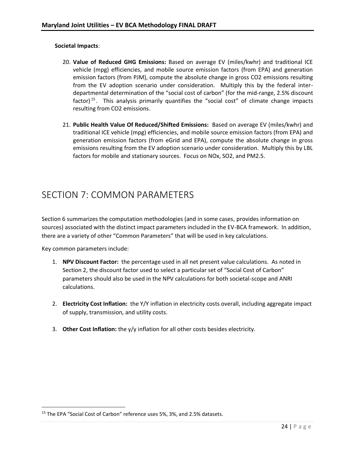#### **Societal Impacts**:

- 20. **Value of Reduced GHG Emissions:** Based on average EV (miles/kwhr) and traditional ICE vehicle (mpg) efficiencies, and mobile source emission factors (from EPA) and generation emission factors (from PJM), compute the absolute change in gross CO2 emissions resulting from the EV adoption scenario under consideration. Multiply this by the federal interdepartmental determination of the "social cost of carbon" (for the mid-range, 2.5% discount factor)<sup>15</sup>. This analysis primarily quantifies the "social cost" of climate change impacts resulting from CO2 emissions.
- 21. **Public Health Value Of Reduced/Shifted Emissions:** Based on average EV (miles/kwhr) and traditional ICE vehicle (mpg) efficiencies, and mobile source emission factors (from EPA) and generation emission factors (from eGrid and EPA), compute the absolute change in gross emissions resulting from the EV adoption scenario under consideration. Multiply this by LBL factors for mobile and stationary sources. Focus on NOx, SO2, and PM2.5.

### <span id="page-23-0"></span>SECTION 7: COMMON PARAMETERS

Section 6 summarizes the computation methodologies (and in some cases, provides information on sources) associated with the distinct impact parameters included in the EV-BCA framework. In addition, there are a variety of other "Common Parameters" that will be used in key calculations.

Key common parameters include:

l

- 1. **NPV Discount Factor:** the percentage used in all net present value calculations. As noted in Section 2, the discount factor used to select a particular set of "Social Cost of Carbon" parameters should also be used in the NPV calculations for both societal-scope and ANRI calculations.
- 2. **Electricity Cost Inflation:** the Y/Y inflation in electricity costs overall, including aggregate impact of supply, transmission, and utility costs.
- 3. **Other Cost Inflation:** the y/y inflation for all other costs besides electricity.

<sup>&</sup>lt;sup>15</sup> The EPA "Social Cost of Carbon" reference uses 5%, 3%, and 2.5% datasets.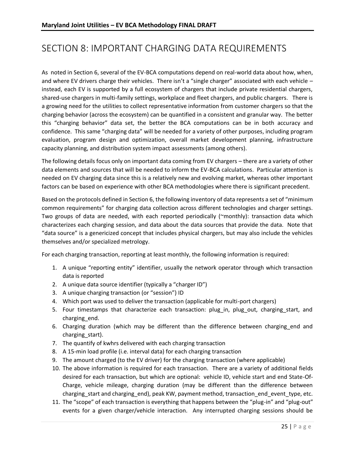# <span id="page-24-0"></span>SECTION 8: IMPORTANT CHARGING DATA REQUIREMENTS

As noted in Section 6, several of the EV-BCA computations depend on real-world data about how, when, and where EV drivers charge their vehicles. There isn't a "single charger" associated with each vehicle – instead, each EV is supported by a full ecosystem of chargers that include private residential chargers, shared-use chargers in multi-family settings, workplace and fleet chargers, and public chargers. There is a growing need for the utilities to collect representative information from customer chargers so that the charging behavior (across the ecosystem) can be quantified in a consistent and granular way. The better this "charging behavior" data set, the better the BCA computations can be in both accuracy and confidence. This same "charging data" will be needed for a variety of other purposes, including program evaluation, program design and optimization, overall market development planning, infrastructure capacity planning, and distribution system impact assessments (among others).

The following details focus only on important data coming from EV chargers – there are a variety of other data elements and sources that will be needed to inform the EV-BCA calculations. Particular attention is needed on EV charging data since this is a relatively new and evolving market, whereas other important factors can be based on experience with other BCA methodologies where there is significant precedent.

Based on the protocols defined in Section 6, the following inventory of data represents a set of "minimum common requirements" for charging data collection across different technologies and charger settings. Two groups of data are needed, with each reported periodically (~monthly): transaction data which characterizes each charging session, and data about the data sources that provide the data. Note that "data source" is a genericized concept that includes physical chargers, but may also include the vehicles themselves and/or specialized metrology.

For each charging transaction, reporting at least monthly, the following information is required:

- 1. A unique "reporting entity" identifier, usually the network operator through which transaction data is reported
- 2. A unique data source identifier (typically a "charger ID")
- 3. A unique charging transaction (or "session") ID
- 4. Which port was used to deliver the transaction (applicable for multi-port chargers)
- 5. Four timestamps that characterize each transaction: plug in, plug out, charging start, and charging\_end.
- 6. Charging duration (which may be different than the difference between charging\_end and charging\_start).
- 7. The quantify of kwhrs delivered with each charging transaction
- 8. A 15-min load profile (i.e. interval data) for each charging transaction
- 9. The amount charged (to the EV driver) for the charging transaction (where applicable)
- 10. The above information is required for each transaction. There are a variety of additional fields desired for each transaction, but which are optional: vehicle ID, vehicle start and end State-Of-Charge, vehicle mileage, charging duration (may be different than the difference between charging start and charging end), peak KW, payment method, transaction end event type, etc.
- 11. The "scope" of each transaction is everything that happens between the "plug-in" and "plug-out" events for a given charger/vehicle interaction. Any interrupted charging sessions should be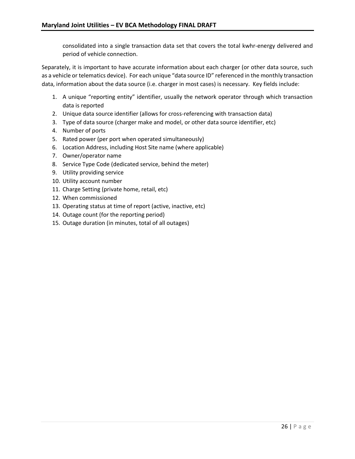consolidated into a single transaction data set that covers the total kwhr-energy delivered and period of vehicle connection.

Separately, it is important to have accurate information about each charger (or other data source, such as a vehicle or telematics device). For each unique "data source ID" referenced in the monthly transaction data, information about the data source (i.e. charger in most cases) is necessary. Key fields include:

- 1. A unique "reporting entity" identifier, usually the network operator through which transaction data is reported
- 2. Unique data source identifier (allows for cross-referencing with transaction data)
- 3. Type of data source (charger make and model, or other data source identifier, etc)
- 4. Number of ports
- 5. Rated power (per port when operated simultaneously)
- 6. Location Address, including Host Site name (where applicable)
- 7. Owner/operator name
- 8. Service Type Code (dedicated service, behind the meter)
- 9. Utility providing service
- 10. Utility account number
- 11. Charge Setting (private home, retail, etc)
- 12. When commissioned
- 13. Operating status at time of report (active, inactive, etc)
- 14. Outage count (for the reporting period)
- 15. Outage duration (in minutes, total of all outages)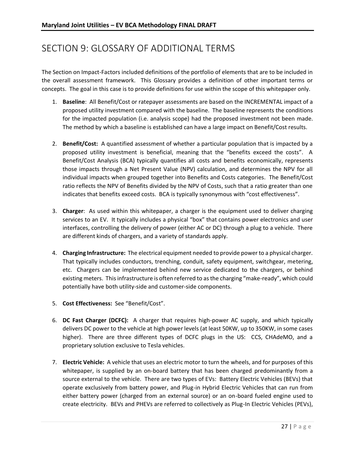# <span id="page-26-0"></span>SECTION 9: GLOSSARY OF ADDITIONAL TERMS

The Section on Impact-Factors included definitions of the portfolio of elements that are to be included in the overall assessment framework. This Glossary provides a definition of other important terms or concepts. The goal in this case is to provide definitions for use within the scope of this whitepaper only.

- 1. **Baseline**: All Benefit/Cost or ratepayer assessments are based on the INCREMENTAL impact of a proposed utility investment compared with the baseline. The baseline represents the conditions for the impacted population (i.e. analysis scope) had the proposed investment not been made. The method by which a baseline is established can have a large impact on Benefit/Cost results.
- 2. **Benefit/Cost:** A quantified assessment of whether a particular population that is impacted by a proposed utility investment is beneficial, meaning that the "benefits exceed the costs". A Benefit/Cost Analysis (BCA) typically quantifies all costs and benefits economically, represents those impacts through a Net Present Value (NPV) calculation, and determines the NPV for all individual impacts when grouped together into Benefits and Costs categories. The Benefit/Cost ratio reflects the NPV of Benefits divided by the NPV of Costs, such that a ratio greater than one indicates that benefits exceed costs. BCA is typically synonymous with "cost effectiveness".
- 3. **Charger**: As used within this whitepaper, a charger is the equipment used to deliver charging services to an EV. It typically includes a physical "box" that contains power electronics and user interfaces, controlling the delivery of power (either AC or DC) through a plug to a vehicle. There are different kinds of chargers, and a variety of standards apply.
- 4. **Charging Infrastructure:** The electrical equipment needed to provide power to a physical charger. That typically includes conductors, trenching, conduit, safety equipment, switchgear, metering, etc. Chargers can be implemented behind new service dedicated to the chargers, or behind existing meters. This infrastructure is often referred to as the charging "make-ready", which could potentially have both utility-side and customer-side components.
- 5. **Cost Effectiveness:** See "Benefit/Cost".
- 6. **DC Fast Charger (DCFC):** A charger that requires high-power AC supply, and which typically delivers DC power to the vehicle at high power levels (at least 50KW, up to 350KW, in some cases higher). There are three different types of DCFC plugs in the US: CCS, CHAdeMO, and a proprietary solution exclusive to Tesla vehicles.
- 7. **Electric Vehicle:** A vehicle that uses an electric motor to turn the wheels, and for purposes of this whitepaper, is supplied by an on-board battery that has been charged predominantly from a source external to the vehicle. There are two types of EVs: Battery Electric Vehicles (BEVs) that operate exclusively from battery power, and Plug-in Hybrid Electric Vehicles that can run from either battery power (charged from an external source) or an on-board fueled engine used to create electricity. BEVs and PHEVs are referred to collectively as Plug-In Electric Vehicles (PEVs),